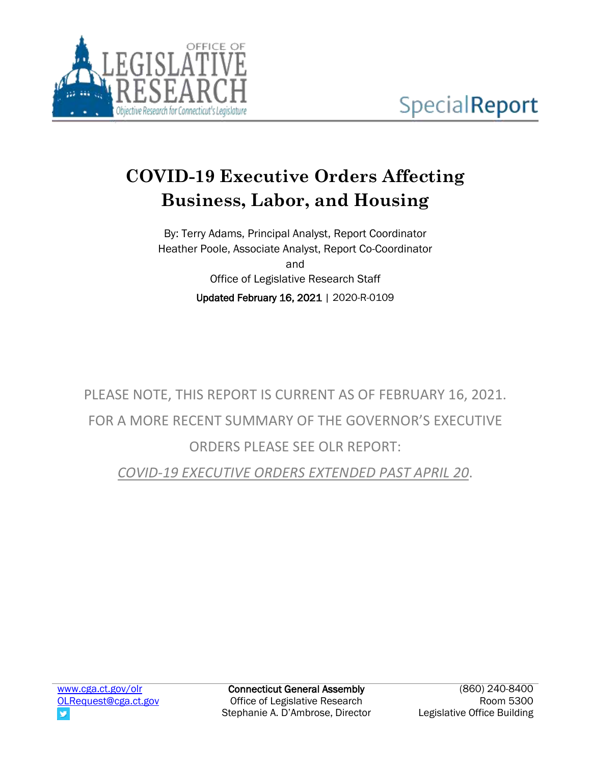

# **COVID-19 Executive Orders Affecting Business, Labor, and Housing**

By: Terry Adams, Principal Analyst, Report Coordinator Heather Poole, Associate Analyst, Report Co-Coordinator and Office of Legislative Research Staff Updated February 16, 2021 | 2020-R-0109

PLEASE NOTE, THIS REPORT IS CURRENT AS OF FEBRUARY 16, 2021. FOR A MORE RECENT SUMMARY OF THE GOVERNOR'S EXECUTIVE ORDERS PLEASE SEE OLR REPORT:

*[COVID-19 EXECUTIVE ORDERS EXTENDED PAST APRIL 20](https://www.cga.ct.gov/2021/rpt/pdf/2021-R-0096.pdf)*.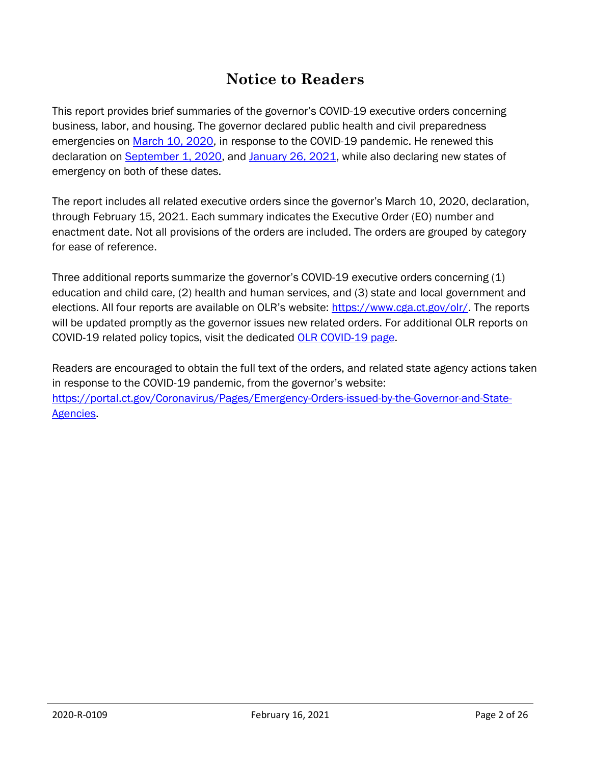# **Notice to Readers**

This report provides brief summaries of the governor's COVID-19 executive orders concerning business, labor, and housing. The governor declared public health and civil preparedness emergencies on [March 10, 2020,](https://portal.ct.gov/-/media/Office-of-the-Governor/News/20200310-declaration-of-civil-preparedness-and-public-health-emergency.pdf?la=en) in response to the COVID-19 pandemic. He renewed this declaration on [September 1, 2020,](https://portal.ct.gov/-/media/Office-of-the-Governor/News/20200901-Renewed-COVID-19-Emergency-Declarations.pdf) and [January 26, 2021,](https://portal.ct.gov/-/media/Office-of-the-Governor/News/2021/20210126-Governor-Lamont-Declaration-of-Emergency.pdf) while also declaring new states of emergency on both of these dates.

The report includes all related executive orders since the governor's March 10, 2020, declaration, through February 15, 2021. Each summary indicates the Executive Order (EO) number and enactment date. Not all provisions of the orders are included. The orders are grouped by category for ease of reference.

Three additional reports summarize the governor's COVID-19 executive orders concerning (1) education and child care, (2) health and human services, and (3) state and local government and elections. All four reports are available on OLR's website: [https://www.cga.ct.gov/olr/.](https://www.cga.ct.gov/olr/) The reports will be updated promptly as the governor issues new related orders. For additional OLR reports on COVID-19 related policy topics, visit the dedicated [OLR COVID-19 page.](https://www.cga.ct.gov/olr/COVID19.asp)

Readers are encouraged to obtain the full text of the orders, and related state agency actions taken in response to the COVID-19 pandemic, from the governor's website: [https://portal.ct.gov/Coronavirus/Pages/Emergency-Orders-issued-by-the-Governor-and-State-](https://portal.ct.gov/Coronavirus/Pages/Emergency-Orders-issued-by-the-Governor-and-State-Agencies)[Agencies.](https://portal.ct.gov/Coronavirus/Pages/Emergency-Orders-issued-by-the-Governor-and-State-Agencies)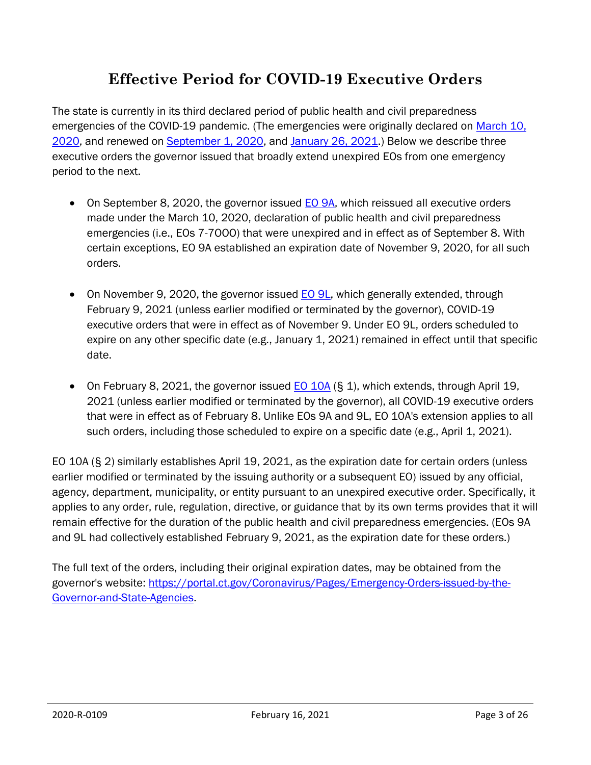# **Effective Period for COVID-19 Executive Orders**

The state is currently in its third declared period of public health and civil preparedness emergencies of the COVID-19 pandemic. (The emergencies were originally declared on March 10, [2020,](https://portal.ct.gov/-/media/Office-of-the-Governor/News/20200310-declaration-of-civil-preparedness-and-public-health-emergency.pdf) and renewed on [September 1, 2020,](https://portal.ct.gov/-/media/Office-of-the-Governor/News/20200901-Renewed-COVID-19-Emergency-Declarations.pdf) and [January 26, 2021.](https://portal.ct.gov/-/media/Office-of-the-Governor/News/2021/20210126-Governor-Lamont-Declaration-of-Emergency.pdf)) Below we describe three executive orders the governor issued that broadly extend unexpired EOs from one emergency period to the next.

- On September 8, 2020, the governor issued [EO 9A,](https://portal.ct.gov/-/media/Office-of-the-Governor/Executive-Orders/Lamont-Executive-Orders/Executive-Order-No-9A.pdf) which reissued all executive orders made under the March 10, 2020, declaration of public health and civil preparedness emergencies (i.e., EOs 7-7OOO) that were unexpired and in effect as of September 8. With certain exceptions, EO 9A established an expiration date of November 9, 2020, for all such orders.
- On November 9, 2020, the governor issued [EO 9L,](https://portal.ct.gov/-/media/Office-of-the-Governor/Executive-Orders/Lamont-Executive-Orders/Executive-Order-No-9L.pdf) which generally extended, through February 9, 2021 (unless earlier modified or terminated by the governor), COVID-19 executive orders that were in effect as of November 9. Under EO 9L, orders scheduled to expire on any other specific date (e.g., January 1, 2021) remained in effect until that specific date.
- On February 8, 2021, the governor issued  $E_0$  10A (§ 1), which extends, through April 19, 2021 (unless earlier modified or terminated by the governor), all COVID-19 executive orders that were in effect as of February 8. Unlike EOs 9A and 9L, EO 10A's extension applies to all such orders, including those scheduled to expire on a specific date (e.g., April 1, 2021).

EO 10A (§ 2) similarly establishes April 19, 2021, as the expiration date for certain orders (unless earlier modified or terminated by the issuing authority or a subsequent EO) issued by any official, agency, department, municipality, or entity pursuant to an unexpired executive order. Specifically, it applies to any order, rule, regulation, directive, or guidance that by its own terms provides that it will remain effective for the duration of the public health and civil preparedness emergencies. (EOs 9A and 9L had collectively established February 9, 2021, as the expiration date for these orders.)

The full text of the orders, including their original expiration dates, may be obtained from the governor's website: [https://portal.ct.gov/Coronavirus/Pages/Emergency-Orders-issued-by-the-](https://portal.ct.gov/Coronavirus/Pages/Emergency-Orders-issued-by-the-Governor-and-State-Agencies)[Governor-and-State-Agencies.](https://portal.ct.gov/Coronavirus/Pages/Emergency-Orders-issued-by-the-Governor-and-State-Agencies)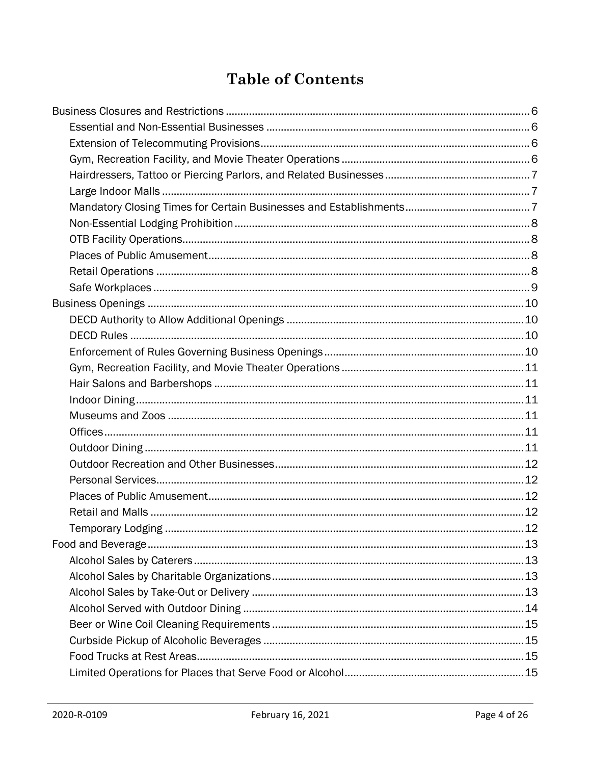# **Table of Contents**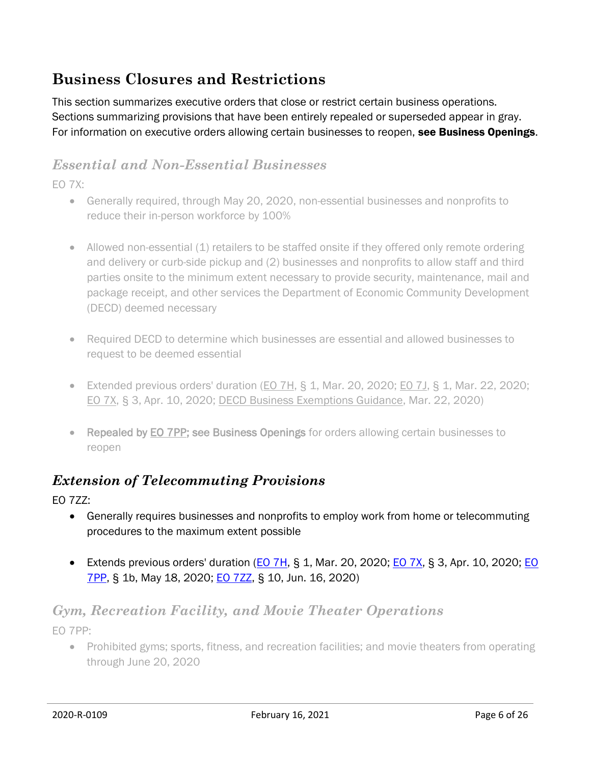# <span id="page-5-0"></span>**Business Closures and Restrictions**

This section summarizes executive orders that close or restrict certain business operations. Sections summarizing provisions that have been entirely repealed or superseded appear in gray. For information on executive orders allowing certain businesses to reopen, see Business Openings.

#### <span id="page-5-1"></span>*Essential and Non-Essential Businesses*

EO 7X:

- Generally required, through May 20, 2020, non-essential businesses and nonprofits to reduce their in-person workforce by 100%
- Allowed non-essential (1) retailers to be staffed onsite if they offered only remote ordering and delivery or curb-side pickup and (2) businesses and nonprofits to allow staff and third parties onsite to the minimum extent necessary to provide security, maintenance, mail and package receipt, and other services the Department of Economic Community Development (DECD) deemed necessary
- Required DECD to determine which businesses are essential and allowed businesses to request to be deemed essential
- Extended previous orders' duration  $(EO 7H, S, 1, Mar. 20, 2020; EO 7J, S, 1, Mar. 22, 2020;$  $(EO 7H, S, 1, Mar. 20, 2020; EO 7J, S, 1, Mar. 22, 2020;$ [EO 7X,](https://portal.ct.gov/-/media/Office-of-the-Governor/Executive-Orders/Lamont-Executive-Orders/Executive-Order-No-7X.pdf?la=en) § 3, Apr. 10, 2020; [DECD Business Exemptions Guidance,](https://portal.ct.gov/DECD/Content/Coronavirus-Business-Recovery/Business-Exemptions-for-Coronavirus) Mar. 22, 2020)
- Repealed by [EO 7PP;](https://portal.ct.gov/-/media/Office-of-the-Governor/Executive-Orders/Lamont-Executive-Orders/Executive-Order-No-7PP.pdf?la=en) see Business Openings for orders allowing certain businesses to reopen

#### <span id="page-5-2"></span>*Extension of Telecommuting Provisions*

EO 7ZZ:

- Generally requires businesses and nonprofits to employ work from home or telecommuting procedures to the maximum extent possible
- Extends previous orders' duration  $(EO 7H, S 1, Mar. 20, 2020; EO 7X, S 3, Apr. 10, 2020; EO$  $(EO 7H, S 1, Mar. 20, 2020; EO 7X, S 3, Apr. 10, 2020; EO$  $(EO 7H, S 1, Mar. 20, 2020; EO 7X, S 3, Apr. 10, 2020; EO$  $(EO 7H, S 1, Mar. 20, 2020; EO 7X, S 3, Apr. 10, 2020; EO$ [7PP,](https://portal.ct.gov/-/media/Office-of-the-Governor/Executive-Orders/Lamont-Executive-Orders/Executive-Order-No-7PP.pdf?la=en) § 1b, May 18, 2020; **EO 7ZZ**, § 10, Jun. 16, 2020)

#### <span id="page-5-3"></span>*Gym, Recreation Facility, and Movie Theater Operations* EO 7PP:

• Prohibited gyms; sports, fitness, and recreation facilities; and movie theaters from operating through June 20, 2020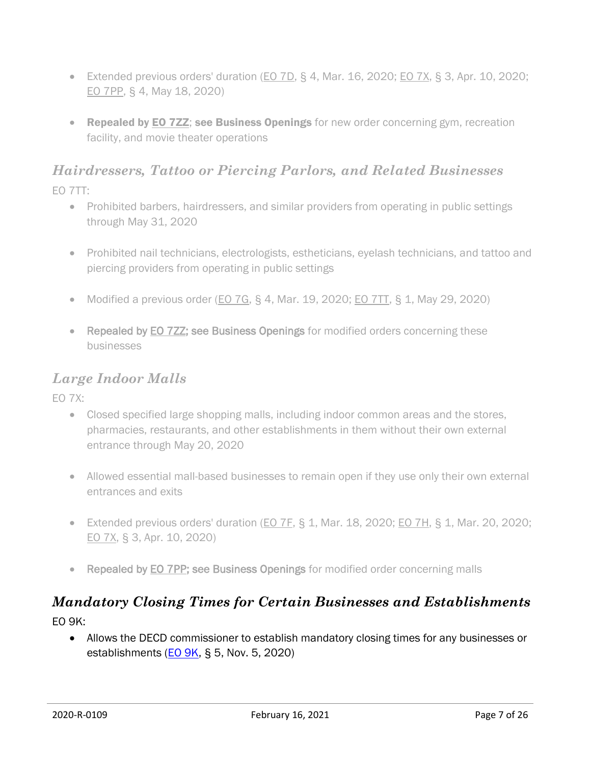- Extended previous orders' duration [\(EO 7D,](https://portal.ct.gov/-/media/Office-of-the-Governor/Executive-Orders/Lamont-Executive-Orders/Executive-Order-No-7D.pdf) § 4, Mar. 16, 2020; [EO 7X,](https://portal.ct.gov/-/media/Office-of-the-Governor/Executive-Orders/Lamont-Executive-Orders/Executive-Order-No-7X.pdf?la=en) § 3, Apr. 10, 2020; [EO 7PP,](https://portal.ct.gov/-/media/Office-of-the-Governor/Executive-Orders/Lamont-Executive-Orders/Executive-Order-No-7PP.pdf) § 4, May 18, 2020)
- Repealed by [EO 7ZZ](https://portal.ct.gov/-/media/Office-of-the-Governor/Executive-Orders/Lamont-Executive-Orders/Executive-Order-No-7ZZ.pdf); see Business Openings for new order concerning gym, recreation facility, and movie theater operations

# <span id="page-6-0"></span>*Hairdressers, Tattoo or Piercing Parlors, and Related Businesses*

EO 7TT:

- Prohibited barbers, hairdressers, and similar providers from operating in public settings through May 31, 2020
- Prohibited nail technicians, electrologists, estheticians, eyelash technicians, and tattoo and piercing providers from operating in public settings
- Modified a previous order ( $EO$  7G, § 4, Mar. 19, 2020;  $EO$  7TT, § 1, May 29, 2020)
- Repealed by EO 722; see Business Openings for modified orders concerning these businesses

#### <span id="page-6-1"></span>*Large Indoor Malls*

EO 7X:

- Closed specified large shopping malls, including indoor common areas and the stores, pharmacies, restaurants, and other establishments in them without their own external entrance through May 20, 2020
- Allowed essential mall-based businesses to remain open if they use only their own external entrances and exits
- Extended previous orders' duration [\(EO](https://portal.ct.gov/-/media/Office-of-the-Governor/Executive-Orders/Lamont-Executive-Orders/Executive-Order-No-7F.pdf?la=en) 7F,  $\S$  1, Mar. 18, 2020; EO [7H,](https://portal.ct.gov/-/media/Office-of-the-Governor/Executive-Orders/Lamont-Executive-Orders/Executive-Order-No-7H.pdf?la=en)  $\S$  1, Mar. 20, 2020; [EO 7X,](https://portal.ct.gov/-/media/Office-of-the-Governor/Executive-Orders/Lamont-Executive-Orders/Executive-Order-No-7X.pdf?la=en) § 3, Apr. 10, 2020)
- Repealed by [EO 7PP;](https://portal.ct.gov/-/media/Office-of-the-Governor/Executive-Orders/Lamont-Executive-Orders/Executive-Order-No-7PP.pdf?la=en) see Business Openings for modified order concerning malls

# <span id="page-6-2"></span>*Mandatory Closing Times for Certain Businesses and Establishments*

EO 9K:

 Allows the DECD commissioner to establish mandatory closing times for any businesses or establishments  $(EO 9K, S 5, Nov. 5, 2020)$  $(EO 9K, S 5, Nov. 5, 2020)$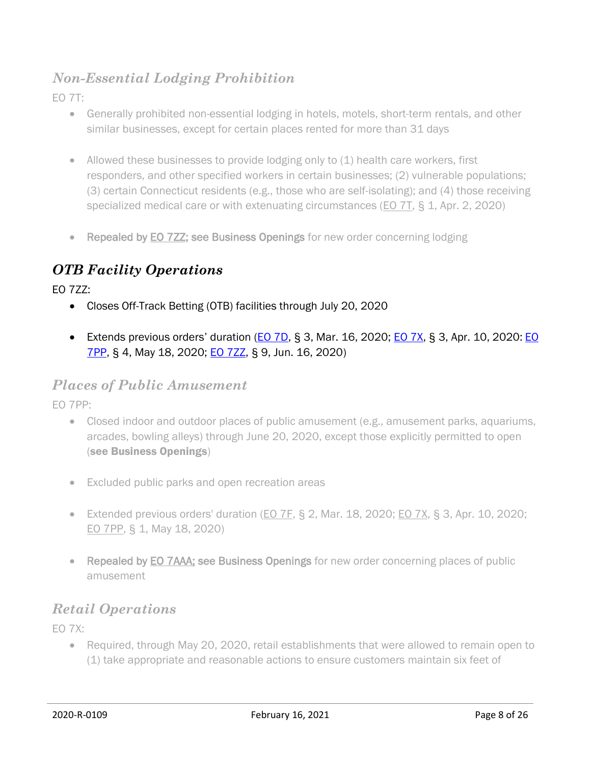#### <span id="page-7-0"></span>*Non-Essential Lodging Prohibition*

EO 7T:

- Generally prohibited non-essential lodging in hotels, motels, short-term rentals, and other similar businesses, except for certain places rented for more than 31 days
- Allowed these businesses to provide lodging only to (1) health care workers, first responders, and other specified workers in certain businesses; (2) vulnerable populations; (3) certain Connecticut residents (e.g., those who are self-isolating); and (4) those receiving specialized medical care or with extenuating circumstances [\(EO 7T,](https://portal.ct.gov/-/media/Office-of-the-Governor/Executive-Orders/Lamont-Executive-Orders/Executive-Order-No-7T.pdf) § 1, Apr. 2, 2020)
- Repealed by [EO 7ZZ;](https://portal.ct.gov/-/media/Office-of-the-Governor/Executive-Orders/Lamont-Executive-Orders/Executive-Order-No-7ZZ.pdf) see Business Openings for new order concerning lodging

#### <span id="page-7-1"></span>*OTB Facility Operations*

EO 7ZZ:

- Closes Off-Track Betting (OTB) facilities through July 20, 2020
- Extends previous orders' duration ( $EO$   $7D$ , § 3, Mar. 16, 2020;  $EO$   $7X$ , § 3, Apr. 10, 2020:  $EO$ [7PP,](https://portal.ct.gov/-/media/Office-of-the-Governor/Executive-Orders/Lamont-Executive-Orders/Executive-Order-No-7PP.pdf) § 4, May 18, 2020; [EO 7ZZ,](https://portal.ct.gov/-/media/Office-of-the-Governor/Executive-Orders/Lamont-Executive-Orders/Executive-Order-No-7ZZ.pdf) § 9, Jun. 16, 2020)

#### <span id="page-7-2"></span>*Places of Public Amusement*

EO 7PP:

- Closed indoor and outdoor places of public amusement (e.g., amusement parks, aquariums, arcades, bowling alleys) through June 20, 2020, except those explicitly permitted to open (see Business Openings)
- Excluded public parks and open recreation areas
- Extended previous orders' duration [\(EO 7F,](https://portal.ct.gov/-/media/Office-of-the-Governor/Executive-Orders/Lamont-Executive-Orders/Executive-Order-No-7F.pdf?la=en) § 2, Mar. 18, 2020; [EO 7X,](https://portal.ct.gov/-/media/Office-of-the-Governor/Executive-Orders/Lamont-Executive-Orders/Executive-Order-No-7X.pdf?la=en) § 3, Apr. 10, 2020; [EO 7PP,](https://portal.ct.gov/-/media/Office-of-the-Governor/Executive-Orders/Lamont-Executive-Orders/Executive-Order-No-7PP.pdf?la=en) § 1, May 18, 2020)
- Repealed by [EO 7AAA;](https://portal.ct.gov/-/media/Office-of-the-Governor/Executive-Orders/Lamont-Executive-Orders/Executive-Order-No-7AAA.pdf) see Business Openings for new order concerning places of public amusement

#### <span id="page-7-3"></span>*Retail Operations*

EO 7X:

• Required, through May 20, 2020, retail establishments that were allowed to remain open to (1) take appropriate and reasonable actions to ensure customers maintain six feet of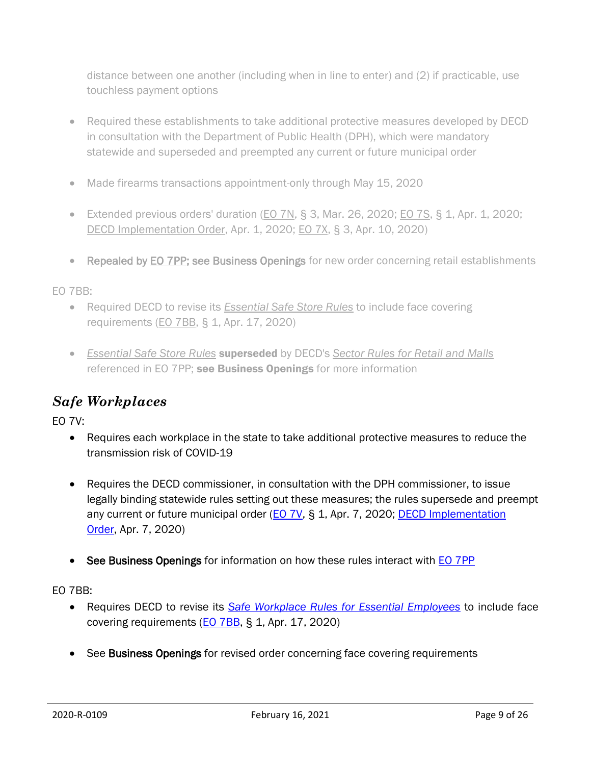distance between one another (including when in line to enter) and (2) if practicable, use touchless payment options

- Required these establishments to take additional protective measures developed by DECD in consultation with the Department of Public Health (DPH), which were mandatory statewide and superseded and preempted any current or future municipal order
- Made firearms transactions appointment-only through May 15, 2020
- Extended previous orders' duration [\(EO 7N,](https://portal.ct.gov/-/media/Office-of-the-Governor/Executive-Orders/Lamont-Executive-Orders/Executive-Order-No-7N.pdf)  $\S$  3, Mar. 26, 2020; [EO 7S,](https://portal.ct.gov/-/media/Office-of-the-Governor/Executive-Orders/Lamont-Executive-Orders/Executive-Order-No-7S.pdf)  $\S$  1, Apr. 1, 2020; [DECD Implementation Order,](https://portal.ct.gov/DECD/Content/Coronavirus-Business-Recovery/Essential-Safe-Store-Rules) Apr. 1, 2020; [EO 7X,](https://portal.ct.gov/-/media/Office-of-the-Governor/Executive-Orders/Lamont-Executive-Orders/Executive-Order-No-7X.pdf?la=en) § 3, Apr. 10, 2020)
- Repealed by [EO 7PP;](https://portal.ct.gov/-/media/Office-of-the-Governor/Executive-Orders/Lamont-Executive-Orders/Executive-Order-No-7PP.pdf) see Business Openings for new order concerning retail establishments

EO 7BB:

- Required DECD to revise its *[Essential Safe Store Rules](https://portal.ct.gov/DECD/Content/Coronavirus-Business-Recovery/Essential-Safe-Store-Rules)* to include face covering requirements [\(EO 7BB,](https://portal.ct.gov/-/media/Office-of-the-Governor/Executive-Orders/Lamont-Executive-Orders/Executive-Order-No-7BB.pdf?la=en) § 1, Apr. 17, 2020)
- *[Essential Safe Store Rules](https://portal.ct.gov/DECD/Content/Coronavirus-Business-Recovery/Essential-Safe-Store-Rules)* superseded by DECD's *[Sector Rules for Retail and Malls](https://portal.ct.gov/-/media/DECD/Covid_Business_Recovery/CTReopensRetail-C4V1.pdf?la=en)* referenced in EO 7PP; see Business Openings for more information

# <span id="page-8-0"></span>*Safe Workplaces*

EO 7V:

- Requires each workplace in the state to take additional protective measures to reduce the transmission risk of COVID-19
- Requires the DECD commissioner, in consultation with the DPH commissioner, to issue legally binding statewide rules setting out these measures; the rules supersede and preempt any current or future municipal order [\(EO 7V,](https://portal.ct.gov/-/media/Office-of-the-Governor/Executive-Orders/Lamont-Executive-Orders/Executive-Order-No-7V.pdf?la=en) § 1, Apr. 7, 2020; DECD Implementation [Order,](https://portal.ct.gov/DECD/Content/Coronavirus-Business-Recovery/Safe-Workplace-Rules-for-Essential-Employers) Apr. 7, 2020)
- See Business Openings for information on how these rules interact with [EO 7PP](https://portal.ct.gov/-/media/Office-of-the-Governor/Executive-Orders/Lamont-Executive-Orders/Executive-Order-No-7PP.pdf)

EO 7BB:

- Requires DECD to revise its *[Safe Workplace Rules for Essential Employees](https://portal.ct.gov/DECD/Content/Coronavirus-Business-Recovery/Safe-Workplace-Rules-for-Essential-Employers)* to include face covering requirements [\(EO 7BB,](https://portal.ct.gov/-/media/Office-of-the-Governor/Executive-Orders/Lamont-Executive-Orders/Executive-Order-No-7BB.pdf?la=en) § 1, Apr. 17, 2020)
- See Business Openings for revised order concerning face covering requirements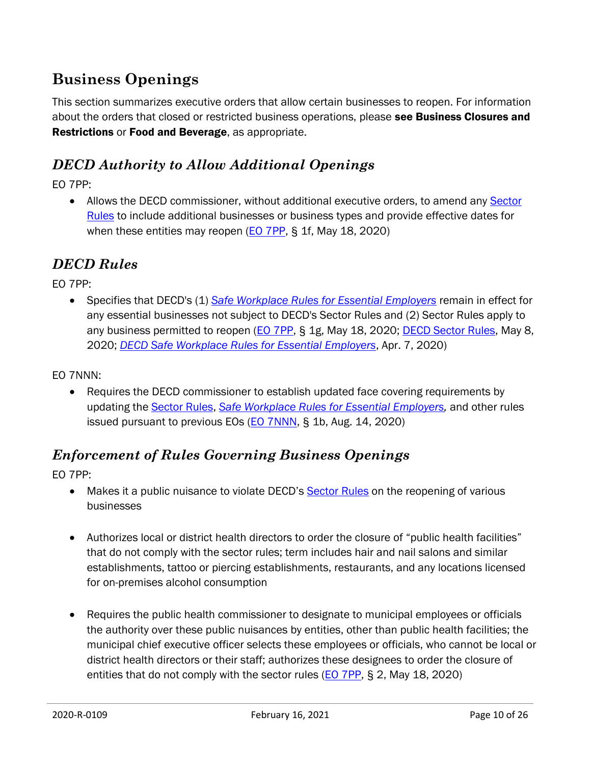# <span id="page-9-0"></span>**Business Openings**

This section summarizes executive orders that allow certain businesses to reopen. For information about the orders that closed or restricted business operations, please see Business Closures and Restrictions or Food and Beverage, as appropriate.

#### <span id="page-9-1"></span>*DECD Authority to Allow Additional Openings*

EO 7PP:

• Allows the DECD commissioner, without additional executive orders, to amend any Sector [Rules](https://portal.ct.gov/DECD/Content/Coronavirus-Business-Recovery/Sector-Rules-and-Certification-for-Reopen) to include additional businesses or business types and provide effective dates for when these entities may reopen  $(EO 7PP, S, 1f, May 18, 2020)$  $(EO 7PP, S, 1f, May 18, 2020)$ 

#### <span id="page-9-2"></span>*DECD Rules*

EO 7PP:

 Specifies that DECD's (1) *[Safe Workplace Rules for Essential Employers](https://portal.ct.gov/DECD/Content/Coronavirus-Business-Recovery/Safe-Workplace-Rules-for-Essential-Employers)* remain in effect for any essential businesses not subject to DECD's Sector Rules and (2) Sector Rules apply to any business permitted to reopen [\(EO 7PP,](https://portal.ct.gov/-/media/Office-of-the-Governor/Executive-Orders/Lamont-Executive-Orders/Executive-Order-No-7PP.pdf?la=en) § 1g, May 18, 2020; [DECD Sector Rules,](https://portal.ct.gov/DECD/Content/Coronavirus-Business-Recovery/Sector-Rules-and-Certification-for-Reopen) May 8, 2020; *[DECD Safe Workplace Rules for Essential Employers](https://portal.ct.gov/DECD/Content/Coronavirus-Business-Recovery/Safe-Workplace-Rules-for-Essential-Employers)*, Apr. 7, 2020)

EO 7NNN:

• Requires the DECD commissioner to establish updated face covering requirements by updating the [Sector Rules,](https://portal.ct.gov/DECD/Content/Coronavirus-Business-Recovery/Sector-Rules-and-Certification-for-Reopen) *[Safe Workplace Rules for Essential Employers,](https://portal.ct.gov/DECD/Content/Coronavirus-Business-Recovery/Safe-Workplace-Rules-for-Essential-Employers)* and other rules issued pursuant to previous EOs ( $E_0$  7NNN, § 1b, Aug. 14, 2020)

#### <span id="page-9-3"></span>*Enforcement of Rules Governing Business Openings*

EO 7PP:

- Makes it a public nuisance to violate DECD's [Sector Rules](https://portal.ct.gov/DECD/Content/Coronavirus-Business-Recovery/Sector-Rules-and-Certification-for-Reopen) on the reopening of various businesses
- Authorizes local or district health directors to order the closure of "public health facilities" that do not comply with the sector rules; term includes hair and nail salons and similar establishments, tattoo or piercing establishments, restaurants, and any locations licensed for on-premises alcohol consumption
- Requires the public health commissioner to designate to municipal employees or officials the authority over these public nuisances by entities, other than public health facilities; the municipal chief executive officer selects these employees or officials, who cannot be local or district health directors or their staff; authorizes these designees to order the closure of entities that do not comply with the sector rules [\(EO 7PP,](https://portal.ct.gov/-/media/Office-of-the-Governor/Executive-Orders/Lamont-Executive-Orders/Executive-Order-No-7PP.pdf) § 2, May 18, 2020)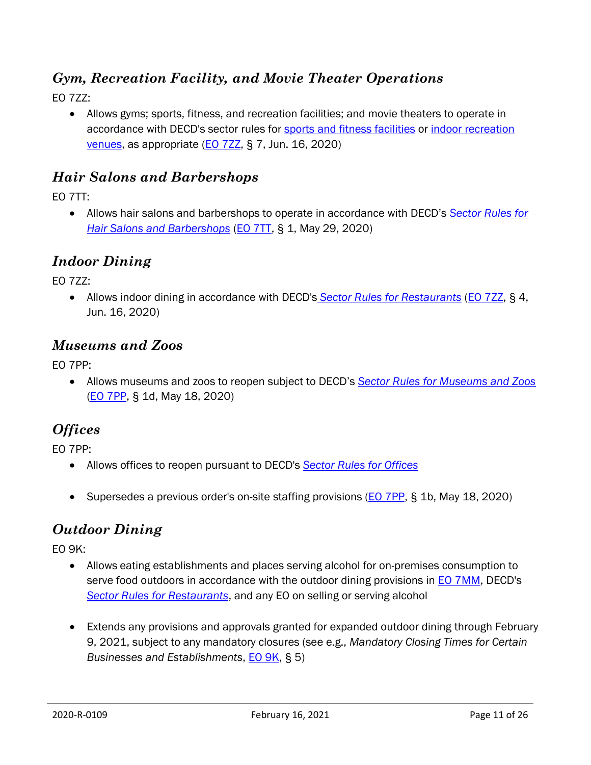#### <span id="page-10-0"></span>*Gym, Recreation Facility, and Movie Theater Operations*

EO 7ZZ:

 Allows gyms; sports, fitness, and recreation facilities; and movie theaters to operate in accordance with DECD's sector rules for [sports and fitness facilities](https://portal.ct.gov/-/media/DECD/Covid_Business_Recovery-Phase-2/0617CTReopens_Sports_FitnessCenters-_C6_V1.pdf) or [indoor recreation](https://portal.ct.gov/-/media/DECD/Covid_Business_Recovery-Phase-2/Indoor_Recreation_C3_V1.pdf) [venues,](https://portal.ct.gov/-/media/DECD/Covid_Business_Recovery-Phase-2/Indoor_Recreation_C3_V1.pdf) as appropriate [\(EO 7ZZ,](https://portal.ct.gov/-/media/Office-of-the-Governor/Executive-Orders/Lamont-Executive-Orders/Executive-Order-No-7ZZ.pdf) § 7, Jun. 16, 2020)

#### <span id="page-10-1"></span>*Hair Salons and Barbershops*

EO 7TT:

 Allows hair salons and barbershops to operate in accordance with DECD's *[Sector Rules for](https://portal.ct.gov/-/media/DECD/Covid_Business_Recovery/CTReopensHairBarbershopsC5V051220.pdf?la=en)  [Hair Salons and Barbershops](https://portal.ct.gov/-/media/DECD/Covid_Business_Recovery/CTReopensHairBarbershopsC5V051220.pdf?la=en)* [\(EO 7TT,](https://portal.ct.gov/-/media/Office-of-the-Governor/Executive-Orders/Lamont-Executive-Orders/Executive-Order-No-7TT.pdf?la=en) § 1, May 29, 2020)

#### <span id="page-10-2"></span>*Indoor Dining*

EO 7ZZ:

 Allows indoor dining in accordance with DECD's *[Sector Rules for Restaurants](https://portal.ct.gov/-/media/DECD/Covid_Business_Recovery-Phase-2/IndoorDining__C3_V1.pdf)* [\(EO 7ZZ,](https://portal.ct.gov/-/media/Office-of-the-Governor/Executive-Orders/Lamont-Executive-Orders/Executive-Order-No-7ZZ.pdf) § 4, Jun. 16, 2020)

#### <span id="page-10-3"></span>*Museums and Zoos*

EO 7PP:

 Allows museums and zoos to reopen subject to DECD's *[Sector Rules for Museums and Zoos](https://portal.ct.gov/-/media/DECD/Covid_Business_Recovery/CTReopens_MuseumsZoos_C4_V2.pdf?la=en)* [\(EO 7PP,](https://portal.ct.gov/-/media/Office-of-the-Governor/Executive-Orders/Lamont-Executive-Orders/Executive-Order-No-7PP.pdf?la=en) § 1d, May 18, 2020)

#### <span id="page-10-4"></span>*Offices*

EO 7PP:

- Allows offices to reopen pursuant to DECD's *[Sector Rules for Offices](https://portal.ct.gov/-/media/DECD/Covid_Business_Recovery/CTReopens_Offices_C4_V1.pdf?la=en)*
- Supersedes a previous order's on-site staffing provisions [\(EO 7PP,](https://portal.ct.gov/-/media/Office-of-the-Governor/Executive-Orders/Lamont-Executive-Orders/Executive-Order-No-7PP.pdf?la=en) § 1b, May 18, 2020)

#### <span id="page-10-5"></span>*Outdoor Dining*

EO 9K:

- Allows eating establishments and places serving alcohol for on-premises consumption to serve food outdoors in accordance with the outdoor dining provisions in [EO 7MM,](https://portal.ct.gov/-/media/Office-of-the-Governor/Executive-Orders/Lamont-Executive-Orders/Executive-Order-No-7MM.pdf) DECD's *[Sector Rules for Restaurants](https://portal.ct.gov/-/media/DECD/Covid_Business_Recovery/CTReopens_Restaurants_C5_V1.pdf?la=en)*, and any EO on selling or serving alcohol
- Extends any provisions and approvals granted for expanded outdoor dining through February 9, 2021, subject to any mandatory closures (see e.g., *Mandatory Closing Times for Certain Businesses and Establishments*, [EO 9K,](https://portal.ct.gov/-/media/Office-of-the-Governor/Executive-Orders/Lamont-Executive-Orders/Executive-Order-No-9K.pdf) § 5)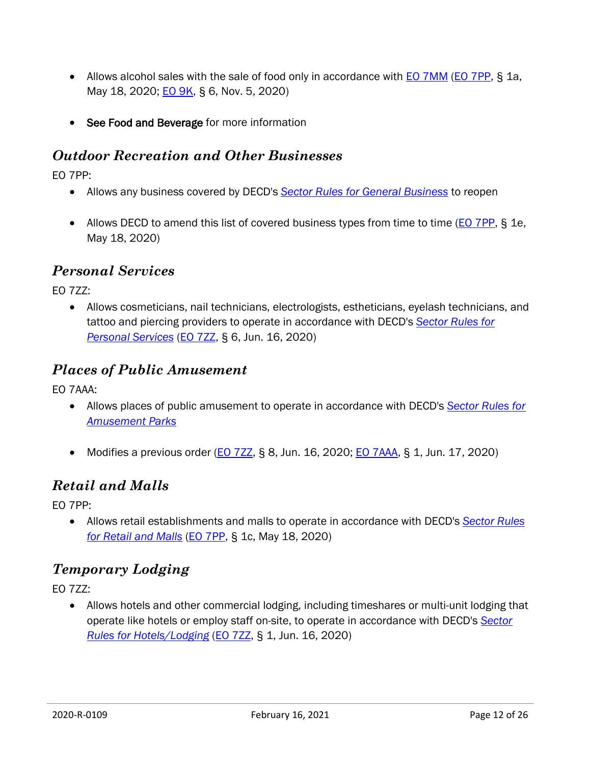- Allows alcohol sales with the sale of food only in accordance with **EO 7MM [\(EO 7PP,](https://portal.ct.gov/-/media/Office-of-the-Governor/Executive-Orders/Lamont-Executive-Orders/Executive-Order-No-7PP.pdf) § 1a**, May 18, 2020; **EO 9K, § 6, Nov. 5, 2020**)
- See Food and Beverage for more information

#### <span id="page-11-0"></span>*Outdoor Recreation and Other Businesses*

EO 7PP:

- Allows any business covered by DECD's *[Sector Rules for General Business](https://portal.ct.gov/-/media/DECD/Covid_Business_Recovery-Aug-14-updates/CTReopensSL_GenBus814.pdf)* to reopen
- Allows DECD to amend this list of covered business types from time to time [\(EO 7PP,](https://portal.ct.gov/-/media/Office-of-the-Governor/Executive-Orders/Lamont-Executive-Orders/Executive-Order-No-7PP.pdf?la=en) § 1e, May 18, 2020)

#### <span id="page-11-1"></span>*Personal Services*

EO 7ZZ:

 Allows cosmeticians, nail technicians, electrologists, estheticians, eyelash technicians, and tattoo and piercing providers to operate in accordance with DECD's *[Sector Rules for](https://portal.ct.gov/-/media/DECD/Covid_Business_Recovery-Phase-2/Prsnl-Srvcs_C3_v1.pdf)  [Personal Services](https://portal.ct.gov/-/media/DECD/Covid_Business_Recovery-Phase-2/Prsnl-Srvcs_C3_v1.pdf)* [\(EO 7ZZ,](https://portal.ct.gov/-/media/Office-of-the-Governor/Executive-Orders/Lamont-Executive-Orders/Executive-Order-No-7ZZ.pdf) § 6, Jun. 16, 2020)

#### <span id="page-11-2"></span>*Places of Public Amusement*

EO 7AAA:

- Allows places of public amusement to operate in accordance with DECD's *[Sector Rules for](https://portal.ct.gov/-/media/DECD/Covid_Business_Recovery-Phase-2/Amusement_Parks_C3_V1.pdf)  [Amusement Parks](https://portal.ct.gov/-/media/DECD/Covid_Business_Recovery-Phase-2/Amusement_Parks_C3_V1.pdf)*
- Modifies a previous order ( $E_0$  7ZZ, § 8, Jun. 16, 2020; [EO 7AAA,](https://portal.ct.gov/-/media/Office-of-the-Governor/Executive-Orders/Lamont-Executive-Orders/Executive-Order-No-7AAA.pdf) § 1, Jun. 17, 2020)

#### <span id="page-11-3"></span>*Retail and Malls*

EO 7PP:

 Allows retail establishments and malls to operate in accordance with DECD's *[Sector Rules](https://portal.ct.gov/-/media/DECD/Covid_Business_Recovery/CTReopensRetail-C4V1.pdf?la=en)  [for Retail and Malls](https://portal.ct.gov/-/media/DECD/Covid_Business_Recovery/CTReopensRetail-C4V1.pdf?la=en)* [\(EO 7PP,](https://portal.ct.gov/-/media/Office-of-the-Governor/Executive-Orders/Lamont-Executive-Orders/Executive-Order-No-7PP.pdf) § 1c, May 18, 2020)

#### <span id="page-11-4"></span>*Temporary Lodging*

EO 7ZZ:

 Allows hotels and other commercial lodging, including timeshares or multi-unit lodging that operate like hotels or employ staff on-site, to operate in accordance with DECD's *[Sector](https://portal.ct.gov/-/media/DECD/Covid_Business_Recovery-Phase-2/Hotels_Lodging_C4_V1.pdf)  [Rules for Hotels/Lodging](https://portal.ct.gov/-/media/DECD/Covid_Business_Recovery-Phase-2/Hotels_Lodging_C4_V1.pdf)* [\(EO 7ZZ,](https://portal.ct.gov/-/media/Office-of-the-Governor/Executive-Orders/Lamont-Executive-Orders/Executive-Order-No-7ZZ.pdf) § 1, Jun. 16, 2020)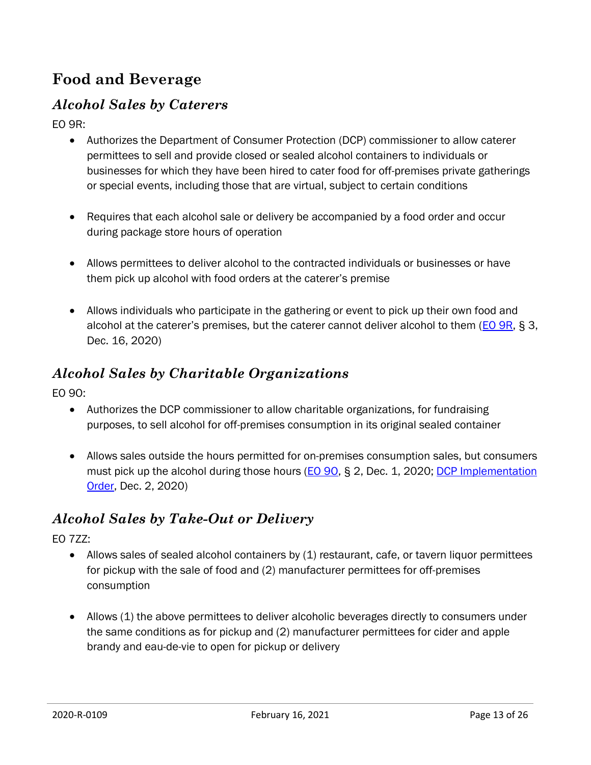# <span id="page-12-0"></span>**Food and Beverage**

#### <span id="page-12-1"></span>*Alcohol Sales by Caterers*

EO 9R:

- Authorizes the Department of Consumer Protection (DCP) commissioner to allow caterer permittees to sell and provide closed or sealed alcohol containers to individuals or businesses for which they have been hired to cater food for off-premises private gatherings or special events, including those that are virtual, subject to certain conditions
- Requires that each alcohol sale or delivery be accompanied by a food order and occur during package store hours of operation
- Allows permittees to deliver alcohol to the contracted individuals or businesses or have them pick up alcohol with food orders at the caterer's premise
- Allows individuals who participate in the gathering or event to pick up their own food and alcohol at the caterer's premises, but the caterer cannot deliver alcohol to them ([EO 9R,](https://portal.ct.gov/-/media/Office-of-the-Governor/Executive-Orders/Lamont-Executive-Orders/Executive-Order-No-9R.pdf) § 3, Dec. 16, 2020)

#### <span id="page-12-2"></span>*Alcohol Sales by Charitable Organizations*

EO 9O:

- Authorizes the DCP commissioner to allow charitable organizations, for fundraising purposes, to sell alcohol for off-premises consumption in its original sealed container
- Allows sales outside the hours permitted for on-premises consumption sales, but consumers must pick up the alcohol during those hours (**EO 90**, § 2, Dec. 1, 2020; DCP Implementation [Order,](https://portal.ct.gov/-/media/DCP/Awareness-and-Prevention/IO-Charitable-Organizations-10_14_20_Final.pdf) Dec. 2, 2020)

#### <span id="page-12-3"></span>*Alcohol Sales by Take-Out or Delivery*

EO 7ZZ:

- Allows sales of sealed alcohol containers by (1) restaurant, cafe, or tavern liquor permittees for pickup with the sale of food and (2) manufacturer permittees for off-premises consumption
- Allows (1) the above permittees to deliver alcoholic beverages directly to consumers under the same conditions as for pickup and (2) manufacturer permittees for cider and apple brandy and eau-de-vie to open for pickup or delivery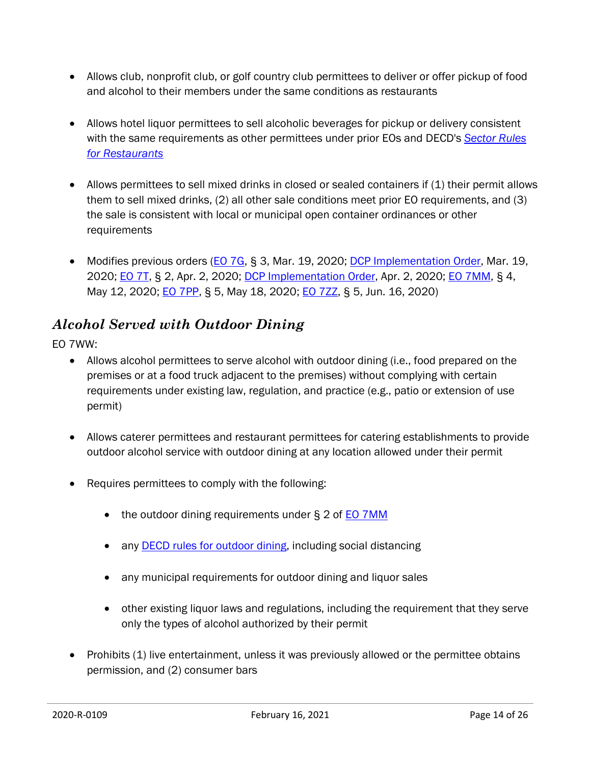- Allows club, nonprofit club, or golf country club permittees to deliver or offer pickup of food and alcohol to their members under the same conditions as restaurants
- Allows hotel liquor permittees to sell alcoholic beverages for pickup or delivery consistent with the same requirements as other permittees under prior EOs and DECD's *[Sector Rules](https://portal.ct.gov/-/media/DECD/Covid_Business_Recovery-Phase-2/IndoorDining__C3_V1.pdf)  [for Restaurants](https://portal.ct.gov/-/media/DECD/Covid_Business_Recovery-Phase-2/IndoorDining__C3_V1.pdf)*
- Allows permittees to sell mixed drinks in closed or sealed containers if (1) their permit allows them to sell mixed drinks, (2) all other sale conditions meet prior EO requirements, and (3) the sale is consistent with local or municipal open container ordinances or other requirements
- Modifies previous orders [\(EO 7G,](https://portal.ct.gov/-/media/Office-of-the-Governor/Executive-Orders/Lamont-Executive-Orders/Executive-Order-No-7G.pdf) § 3, Mar. 19, 2020; [DCP Implementation Order,](https://portal.ct.gov/-/media/DCP/LIQUOR_CONTROL/Latest%20Liquor%20News%20Alerts/Implementation%20Order-%20DCP%20Final%20(003)) Mar. 19, 2020; [EO 7T,](https://portal.ct.gov/-/media/Office-of-the-Governor/Executive-Orders/Lamont-Executive-Orders/Executive-Order-No-7T.pdf) § 2, Apr. 2, 2020; [DCP Implementation Order,](https://portal.ct.gov/-/media/DCP/LIQUOR_CONTROL/Latest-Liquor-News-Alerts/7G_7T_IO.pdf?la=en) Apr. 2, 2020; [EO 7MM,](https://portal.ct.gov/-/media/Office-of-the-Governor/Executive-Orders/Lamont-Executive-Orders/Executive-Order-No-7MM.pdf?la=en) § 4, May 12, 2020; *EO 7PP*, § 5, May 18, 2020; *EO 7ZZ*, § 5, Jun. 16, 2020)

#### <span id="page-13-0"></span>*Alcohol Served with Outdoor Dining*

EO 7WW:

- Allows alcohol permittees to serve alcohol with outdoor dining (i.e., food prepared on the premises or at a food truck adjacent to the premises) without complying with certain requirements under existing law, regulation, and practice (e.g., patio or extension of use permit)
- Allows caterer permittees and restaurant permittees for catering establishments to provide outdoor alcohol service with outdoor dining at any location allowed under their permit
- Requires permittees to comply with the following:
	- the outdoor dining requirements under § 2 of **EO** 7MM
	- any **DECD** rules for outdoor dining, including social distancing
	- any municipal requirements for outdoor dining and liquor sales
	- other existing liquor laws and regulations, including the requirement that they serve only the types of alcohol authorized by their permit
- Prohibits (1) live entertainment, unless it was previously allowed or the permittee obtains permission, and (2) consumer bars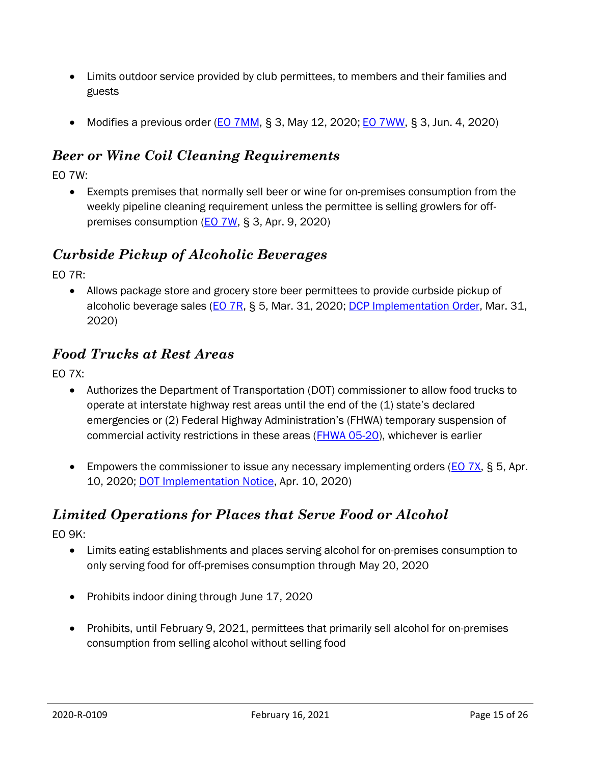- Limits outdoor service provided by club permittees, to members and their families and guests
- Modifies a previous order [\(EO 7MM,](https://portal.ct.gov/-/media/Office-of-the-Governor/Executive-Orders/Lamont-Executive-Orders/Executive-Order-No-7MM.pdf?la=en) § 3, May 12, 2020; [EO 7WW,](https://portal.ct.gov/-/media/Office-of-the-Governor/Executive-Orders/Lamont-Executive-Orders/Executive-Order-No-7WW.pdf) § 3, Jun. 4, 2020)

#### <span id="page-14-0"></span>*Beer or Wine Coil Cleaning Requirements*

EO 7W:

 Exempts premises that normally sell beer or wine for on-premises consumption from the weekly pipeline cleaning requirement unless the permittee is selling growlers for offpremises consumption (**EO 7W, § 3, Apr. 9, 2020**)

#### <span id="page-14-1"></span>*Curbside Pickup of Alcoholic Beverages*

EO 7R:

 Allows package store and grocery store beer permittees to provide curbside pickup of alcoholic beverage sales [\(EO 7R,](https://portal.ct.gov/-/media/Office-of-the-Governor/Executive-Orders/Lamont-Executive-Orders/Executive-Order-No-7R.pdf) § 5, Mar. 31, 2020; [DCP Implementation Order,](https://portal.ct.gov/-/media/DCP/LIQUOR_CONTROL/Latest-Liquor-News-Alerts/DCP_IO_7R.pdf?la=en) Mar. 31, 2020)

#### <span id="page-14-2"></span>*Food Trucks at Rest Areas*

EO 7X:

- Authorizes the Department of Transportation (DOT) commissioner to allow food trucks to operate at interstate highway rest areas until the end of the (1) state's declared emergencies or (2) Federal Highway Administration's (FHWA) temporary suspension of commercial activity restrictions in these areas [\(FHWA 05-20\)](https://cms8.fhwa.dot.gov/newsroom/federal-highway-administration-issues-notice-allowing-states-permit-use-food-trucks-rest), whichever is earlier
- **Empowers the commissioner to issue any necessary implementing orders (** $E_0$  **7X, § 5, Apr.**) 10, 2020; [DOT Implementation Notice,](https://portal.ct.gov/DOT/News-from-the-Connecticut-Department-of-Transportation/2020/Food-Trucks-Temporarily-Permitted-at-CTDOT-Highway-Rest-Areas) Apr. 10, 2020)

#### <span id="page-14-3"></span>*Limited Operations for Places that Serve Food or Alcohol*

EO 9K:

- Limits eating establishments and places serving alcohol for on-premises consumption to only serving food for off-premises consumption through May 20, 2020
- Prohibits indoor dining through June 17, 2020
- Prohibits, until February 9, 2021, permittees that primarily sell alcohol for on-premises consumption from selling alcohol without selling food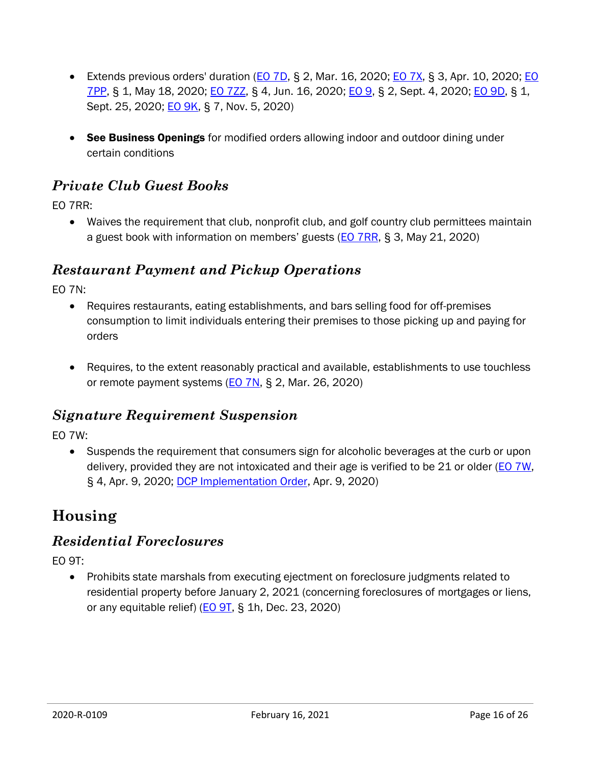- Extends previous orders' duration ( $E$ O 7D, § 2, Mar. 16, 2020;  $E$ O 7X, § 3, Apr. 10, 2020;  $E$ O [7PP,](https://portal.ct.gov/-/media/Office-of-the-Governor/Executive-Orders/Lamont-Executive-Orders/Executive-Order-No-7PP.pdf?la=en) § 1, May 18, 2020; [EO 7ZZ,](https://portal.ct.gov/-/media/Office-of-the-Governor/Executive-Orders/Lamont-Executive-Orders/Executive-Order-No-7ZZ.pdf) § 4, Jun. 16, 2020; [EO 9,](https://portal.ct.gov/-/media/Office-of-the-Governor/Executive-Orders/Lamont-Executive-Orders/Executive-Order-No-9.pdf) § 2, Sept. 4, 2020; [EO 9D,](https://portal.ct.gov/-/media/Office-of-the-Governor/Executive-Orders/Lamont-Executive-Orders/Executive-Order-No-9D.pdf) § 1, Sept. 25, 2020; [EO 9K,](https://portal.ct.gov/-/media/Office-of-the-Governor/Executive-Orders/Lamont-Executive-Orders/Executive-Order-No-9K.pdf) § 7, Nov. 5, 2020)
- See Business Openings for modified orders allowing indoor and outdoor dining under certain conditions

#### <span id="page-15-0"></span>*Private Club Guest Books*

EO 7RR:

 Waives the requirement that club, nonprofit club, and golf country club permittees maintain a guest book with information on members' guests ([EO 7RR,](https://portal.ct.gov/-/media/Office-of-the-Governor/Executive-Orders/Lamont-Executive-Orders/Executive-Order-No-7RR.pdf) § 3, May 21, 2020)

#### <span id="page-15-1"></span>*Restaurant Payment and Pickup Operations*

EO 7N:

- Requires restaurants, eating establishments, and bars selling food for off-premises consumption to limit individuals entering their premises to those picking up and paying for orders
- Requires, to the extent reasonably practical and available, establishments to use touchless or remote payment systems [\(EO 7N,](https://portal.ct.gov/-/media/Office-of-the-Governor/Executive-Orders/Lamont-Executive-Orders/Executive-Order-No-7N.pdf?la=en) § 2, Mar. 26, 2020)

#### <span id="page-15-2"></span>*Signature Requirement Suspension*

EO 7W:

 Suspends the requirement that consumers sign for alcoholic beverages at the curb or upon delivery, provided they are not intoxicated and their age is verified to be 21 or older [\(EO 7W,](https://portal.ct.gov/-/media/Office-of-the-Governor/Executive-Orders/Lamont-Executive-Orders/Executive-Order-No-7W.pdf) § 4, Apr. 9, 2020; [DCP Implementation Order,](https://portal.ct.gov/-/media/DCP/LIQUOR_CONTROL/Latest-Liquor-News-Alerts/7W_IO.pdf?la=en) Apr. 9, 2020)

# <span id="page-15-3"></span>**Housing**

#### <span id="page-15-4"></span>*Residential Foreclosures*

EO 9T:

• Prohibits state marshals from executing ejectment on foreclosure judgments related to residential property before January 2, 2021 (concerning foreclosures of mortgages or liens, or any equitable relief) ( $EO$   $9T$ , § 1h, Dec. 23, 2020)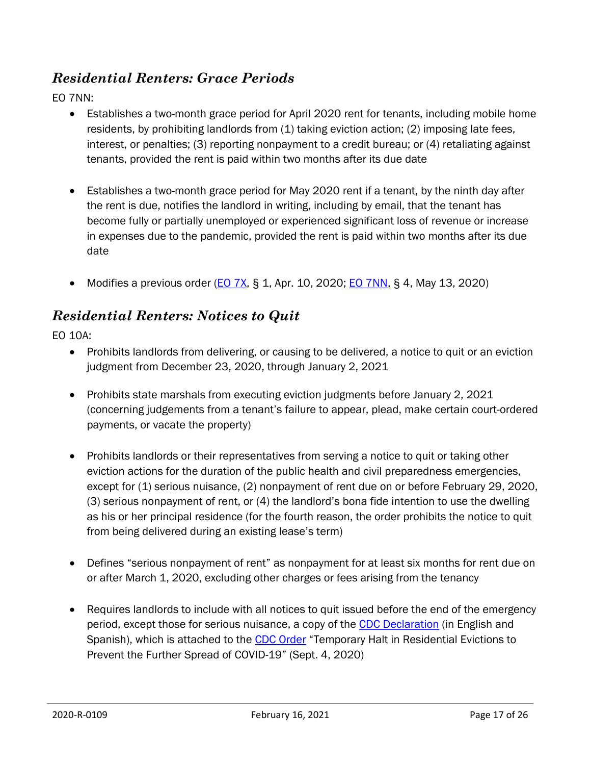#### <span id="page-16-0"></span>*Residential Renters: Grace Periods*

EO 7NN:

- Establishes a two-month grace period for April 2020 rent for tenants, including mobile home residents, by prohibiting landlords from (1) taking eviction action; (2) imposing late fees, interest, or penalties; (3) reporting nonpayment to a credit bureau; or (4) retaliating against tenants, provided the rent is paid within two months after its due date
- Establishes a two-month grace period for May 2020 rent if a tenant, by the ninth day after the rent is due, notifies the landlord in writing, including by email, that the tenant has become fully or partially unemployed or experienced significant loss of revenue or increase in expenses due to the pandemic, provided the rent is paid within two months after its due date
- Modifies a previous order [\(EO 7X,](https://portal.ct.gov/-/media/Office-of-the-Governor/Executive-Orders/Lamont-Executive-Orders/Executive-Order-No-7X.pdf) § 1, Apr. 10, 2020; [EO 7NN,](https://portal.ct.gov/-/media/Office-of-the-Governor/Executive-Orders/Lamont-Executive-Orders/Executive-Order-No-7NN.pdf?la=en) § 4, May 13, 2020)

#### <span id="page-16-1"></span>*Residential Renters: Notices to Quit*

EO 10A:

- Prohibits landlords from delivering, or causing to be delivered, a notice to quit or an eviction judgment from December 23, 2020, through January 2, 2021
- Prohibits state marshals from executing eviction judgments before January 2, 2021 (concerning judgements from a tenant's failure to appear, plead, make certain court-ordered payments, or vacate the property)
- Prohibits landlords or their representatives from serving a notice to quit or taking other eviction actions for the duration of the public health and civil preparedness emergencies, except for (1) serious nuisance, (2) nonpayment of rent due on or before February 29, 2020, (3) serious nonpayment of rent, or (4) the landlord's bona fide intention to use the dwelling as his or her principal residence (for the fourth reason, the order prohibits the notice to quit from being delivered during an existing lease's term)
- Defines "serious nonpayment of rent" as nonpayment for at least six months for rent due on or after March 1, 2020, excluding other charges or fees arising from the tenancy
- Requires landlords to include with all notices to quit issued before the end of the emergency period, except those for serious nuisance, a copy of the [CDC Declaration](https://www.cdc.gov/coronavirus/2019-ncov/downloads/declaration-form.pdf) (in English and Spanish), which is attached to the [CDC Order](https://www.federalregister.gov/documents/2020/09/04/2020-19654/temporary-halt-in-residential-evictions-to-prevent-the-further-spread-of-covid-19) "Temporary Halt in Residential Evictions to Prevent the Further Spread of COVID-19" (Sept. 4, 2020)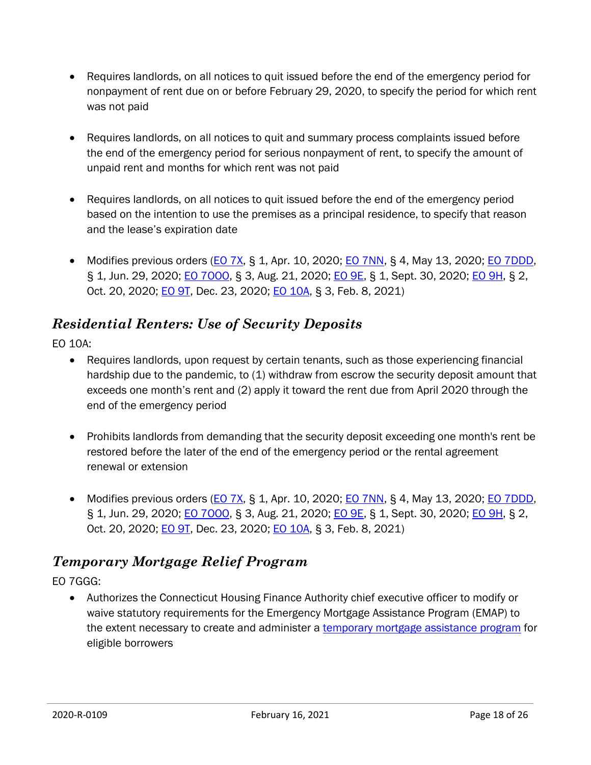- Requires landlords, on all notices to quit issued before the end of the emergency period for nonpayment of rent due on or before February 29, 2020, to specify the period for which rent was not paid
- Requires landlords, on all notices to quit and summary process complaints issued before the end of the emergency period for serious nonpayment of rent, to specify the amount of unpaid rent and months for which rent was not paid
- Requires landlords, on all notices to quit issued before the end of the emergency period based on the intention to use the premises as a principal residence, to specify that reason and the lease's expiration date
- $\bullet$  Modifies previous orders [\(EO 7X,](https://portal.ct.gov/-/media/Office-of-the-Governor/Executive-Orders/Lamont-Executive-Orders/Executive-Order-No-7X.pdf) § 1, Apr. 10, 2020; EO [7NN,](https://portal.ct.gov/-/media/Office-of-the-Governor/Executive-Orders/Lamont-Executive-Orders/Executive-Order-No-7NN.pdf?la=en) § 4, May 13, 2020; [EO 7DDD,](https://portal.ct.gov/-/media/Office-of-the-Governor/Executive-Orders/Lamont-Executive-Orders/Executive-Order-No-7DDD.pdf) § 1, Jun. 29, 2020; EO 7000, § 3, Aug. 21, 2020; [EO 9E,](https://portal.ct.gov/-/media/Office-of-the-Governor/Executive-Orders/Lamont-Executive-Orders/Executive-Order-No-9E.pdf) § 1, Sept. 30, 2020; [EO 9H,](https://portal.ct.gov/-/media/Office-of-the-Governor/Executive-Orders/Lamont-Executive-Orders/Executive-Order-No-9H.pdf) § 2, Oct. 20, 2020; **EO 9T**, Dec. 23, 2020; **EO 10A**, § 3, Feb. 8, 2021)

#### <span id="page-17-0"></span>*Residential Renters: Use of Security Deposits*

EO 10A:

- Requires landlords, upon request by certain tenants, such as those experiencing financial hardship due to the pandemic, to (1) withdraw from escrow the security deposit amount that exceeds one month's rent and (2) apply it toward the rent due from April 2020 through the end of the emergency period
- Prohibits landlords from demanding that the security deposit exceeding one month's rent be restored before the later of the end of the emergency period or the rental agreement renewal or extension
- Modifies previous orders  $(EO 7X, S 1, Apr. 10, 2020; EO 7NN, S 4, May 13, 2020; EO 7DDD,$  $(EO 7X, S 1, Apr. 10, 2020; EO 7NN, S 4, May 13, 2020; EO 7DDD,$  $(EO 7X, S 1, Apr. 10, 2020; EO 7NN, S 4, May 13, 2020; EO 7DDD,$  $(EO 7X, S 1, Apr. 10, 2020; EO 7NN, S 4, May 13, 2020; EO 7DDD,$  $(EO 7X, S 1, Apr. 10, 2020; EO 7NN, S 4, May 13, 2020; EO 7DDD,$ § 1, Jun. 29, 2020; **EO 7000**, § 3, Aug. 21, 2020; **EO 9E**, § 1, Sept. 30, 2020; **EO 9H**, § 2, Oct. 20, 2020; **EO 9T**, Dec. 23, 2020; **EO 10A**, § 3, Feb. 8, 2021)

#### <span id="page-17-1"></span>*Temporary Mortgage Relief Program*

EO 7GGG:

 Authorizes the Connecticut Housing Finance Authority chief executive officer to modify or waive statutory requirements for the Emergency Mortgage Assistance Program (EMAP) to the extent necessary to create and administer a [temporary mortgage assistance program](https://www.chfa.org/assets/1/6/Temporary_Mortgage_Assistance_Program_(TMAP)_FLYER.pdf) for eligible borrowers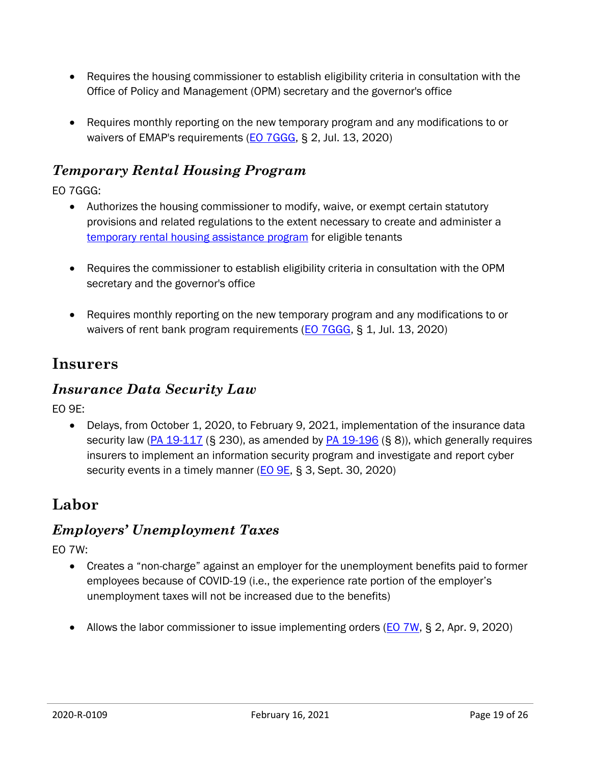- Requires the housing commissioner to establish eligibility criteria in consultation with the Office of Policy and Management (OPM) secretary and the governor's office
- Requires monthly reporting on the new temporary program and any modifications to or waivers of EMAP's requirements [\(EO 7GGG,](https://portal.ct.gov/-/media/Office-of-the-Governor/Executive-Orders/Lamont-Executive-Orders/Executive-Order-No-7GGG.pdf) § 2, Jul. 13, 2020)

#### <span id="page-18-0"></span>*Temporary Rental Housing Program*

EO 7GGG:

- Authorizes the housing commissioner to modify, waive, or exempt certain statutory provisions and related regulations to the extent necessary to create and administer a [temporary rental housing assistance program](https://portal.ct.gov/DOH/DOH/Programs/Temporary-Housing-Assistance-Initiatives) for eligible tenants
- Requires the commissioner to establish eligibility criteria in consultation with the OPM secretary and the governor's office
- Requires monthly reporting on the new temporary program and any modifications to or waivers of rent bank program requirements [\(EO 7GGG,](https://portal.ct.gov/-/media/Office-of-the-Governor/Executive-Orders/Lamont-Executive-Orders/Executive-Order-No-7GGG.pdf) § 1, Jul. 13, 2020)

#### <span id="page-18-1"></span>**Insurers**

#### <span id="page-18-2"></span>*Insurance Data Security Law*

EO 9E:

• Delays, from October 1, 2020, to February 9, 2021, implementation of the insurance data security law ( $PA$  19-117 (§ 230), as amended by  $PA$  19-196 (§ 8)), which generally requires insurers to implement an information security program and investigate and report cyber security events in a timely manner (**EO 9E, § 3**, Sept. 30, 2020)

# <span id="page-18-3"></span>**Labor**

#### <span id="page-18-4"></span>*Employers' Unemployment Taxes*

EO 7W:

- Creates a "non-charge" against an employer for the unemployment benefits paid to former employees because of COVID-19 (i.e., the experience rate portion of the employer's unemployment taxes will not be increased due to the benefits)
- Allows the labor commissioner to issue implementing orders [\(EO 7W,](https://portal.ct.gov/-/media/Office-of-the-Governor/Executive-Orders/Lamont-Executive-Orders/Executive-Order-No-7W.pdf) § 2, Apr. 9, 2020)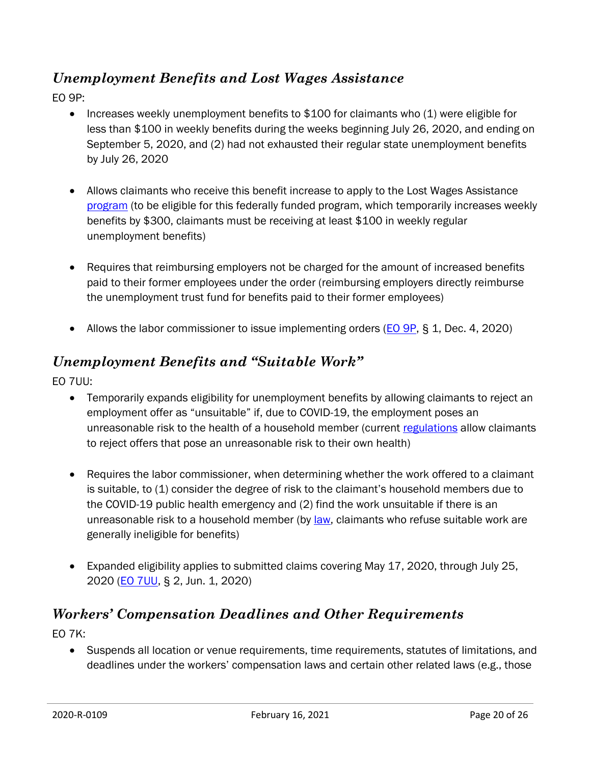#### <span id="page-19-0"></span>*Unemployment Benefits and Lost Wages Assistance*

EO 9P:

- Increases weekly unemployment benefits to  $$100$  for claimants who  $(1)$  were eligible for less than \$100 in weekly benefits during the weeks beginning July 26, 2020, and ending on September 5, 2020, and (2) had not exhausted their regular state unemployment benefits by July 26, 2020
- Allows claimants who receive this benefit increase to apply to the Lost Wages Assistance [program](https://portal.ct.gov/DOLUI/FPUC) (to be eligible for this federally funded program, which temporarily increases weekly benefits by \$300, claimants must be receiving at least \$100 in weekly regular unemployment benefits)
- Requires that reimbursing employers not be charged for the amount of increased benefits paid to their former employees under the order (reimbursing employers directly reimburse the unemployment trust fund for benefits paid to their former employees)
- Allows the labor commissioner to issue implementing orders ( $EO$  9P, § 1, Dec. 4, 2020)

#### <span id="page-19-1"></span>*Unemployment Benefits and "Suitable Work"*

EO 7UU:

- Temporarily expands eligibility for unemployment benefits by allowing claimants to reject an employment offer as "unsuitable" if, due to COVID-19, the employment poses an unreasonable risk to the health of a household member (current [regulations](https://eregulations.ct.gov/eRegsPortal/Browse/RCSA/Title_31Subtitle_31-236Section_31-236-5/) allow claimants to reject offers that pose an unreasonable risk to their own health)
- Requires the labor commissioner, when determining whether the work offered to a claimant is suitable, to (1) consider the degree of risk to the claimant's household members due to the COVID-19 public health emergency and (2) find the work unsuitable if there is an unreasonable risk to a household member (by <u>law</u>, claimants who refuse suitable work are generally ineligible for benefits)
- Expanded eligibility applies to submitted claims covering May 17, 2020, through July 25, 2020 (**EO 7UU**, § 2, Jun. 1, 2020)

#### <span id="page-19-2"></span>*Workers' Compensation Deadlines and Other Requirements*

EO 7K:

 Suspends all location or venue requirements, time requirements, statutes of limitations, and deadlines under the workers' compensation laws and certain other related laws (e.g., those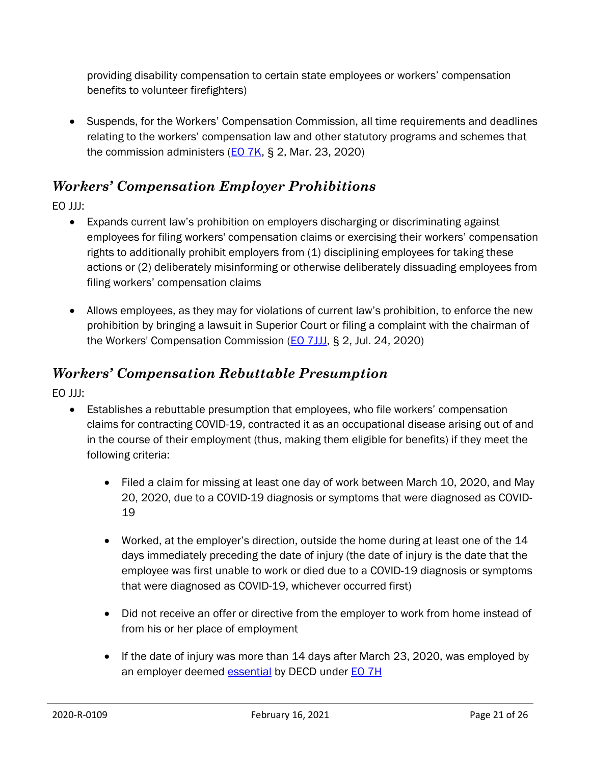providing disability compensation to certain state employees or workers' compensation benefits to volunteer firefighters)

 Suspends, for the Workers' Compensation Commission, all time requirements and deadlines relating to the workers' compensation law and other statutory programs and schemes that the commission administers  $(EO 7K, S 2, Mar. 23, 2020)$  $(EO 7K, S 2, Mar. 23, 2020)$ 

#### <span id="page-20-0"></span>*Workers' Compensation Employer Prohibitions*

EO JJJ:

- Expands current law's prohibition on employers discharging or discriminating against employees for filing workers' compensation claims or exercising their workers' compensation rights to additionally prohibit employers from (1) disciplining employees for taking these actions or (2) deliberately misinforming or otherwise deliberately dissuading employees from filing workers' compensation claims
- Allows employees, as they may for violations of current law's prohibition, to enforce the new prohibition by bringing a lawsuit in Superior Court or filing a complaint with the chairman of the Workers' Compensation Commission [\(EO 7JJJ,](https://portal.ct.gov/-/media/Office-of-the-Governor/Executive-Orders/Lamont-Executive-Orders/Executive-Order-No-7JJJ.pdf) § 2, Jul. 24, 2020)

#### <span id="page-20-1"></span>*Workers' Compensation Rebuttable Presumption*

EO JJJ:

- Establishes a rebuttable presumption that employees, who file workers' compensation claims for contracting COVID-19, contracted it as an occupational disease arising out of and in the course of their employment (thus, making them eligible for benefits) if they meet the following criteria:
	- Filed a claim for missing at least one day of work between March 10, 2020, and May 20, 2020, due to a COVID-19 diagnosis or symptoms that were diagnosed as COVID-19
	- Worked, at the employer's direction, outside the home during at least one of the 14 days immediately preceding the date of injury (the date of injury is the date that the employee was first unable to work or died due to a COVID-19 diagnosis or symptoms that were diagnosed as COVID-19, whichever occurred first)
	- Did not receive an offer or directive from the employer to work from home instead of from his or her place of employment
	- If the date of injury was more than 14 days after March 23, 2020, was employed by an employer deemed [essential](https://portal.ct.gov/DECD/Content/Coronavirus-Business-Recovery/Business-Exemptions-for-Coronavirus) by DECD under [EO 7H](https://portal.ct.gov/-/media/Office-of-the-Governor/Executive-Orders/Lamont-Executive-Orders/Executive-Order-No-7H.pdf)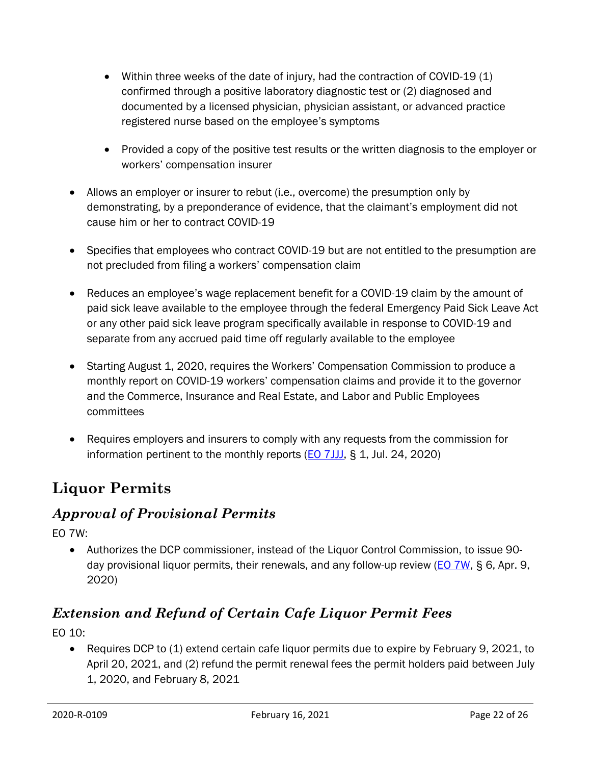- $\bullet$  Within three weeks of the date of injury, had the contraction of COVID-19 (1) confirmed through a positive laboratory diagnostic test or (2) diagnosed and documented by a licensed physician, physician assistant, or advanced practice registered nurse based on the employee's symptoms
- Provided a copy of the positive test results or the written diagnosis to the employer or workers' compensation insurer
- Allows an employer or insurer to rebut (i.e., overcome) the presumption only by demonstrating, by a preponderance of evidence, that the claimant's employment did not cause him or her to contract COVID-19
- Specifies that employees who contract COVID-19 but are not entitled to the presumption are not precluded from filing a workers' compensation claim
- Reduces an employee's wage replacement benefit for a COVID-19 claim by the amount of paid sick leave available to the employee through the federal Emergency Paid Sick Leave Act or any other paid sick leave program specifically available in response to COVID-19 and separate from any accrued paid time off regularly available to the employee
- Starting August 1, 2020, requires the Workers' Compensation Commission to produce a monthly report on COVID-19 workers' compensation claims and provide it to the governor and the Commerce, Insurance and Real Estate, and Labor and Public Employees committees
- Requires employers and insurers to comply with any requests from the commission for information pertinent to the monthly reports  $(EO 7JJJ, S 1, Jul. 24, 2020)$  $(EO 7JJJ, S 1, Jul. 24, 2020)$

# <span id="page-21-0"></span>**Liquor Permits**

#### <span id="page-21-1"></span>*Approval of Provisional Permits*

EO 7W:

 Authorizes the DCP commissioner, instead of the Liquor Control Commission, to issue 90 day provisional liquor permits, their renewals, and any follow-up review [\(EO 7W,](https://portal.ct.gov/-/media/Office-of-the-Governor/Executive-Orders/Lamont-Executive-Orders/Executive-Order-No-7W.pdf) § 6, Apr. 9, 2020)

# <span id="page-21-2"></span>*Extension and Refund of Certain Cafe Liquor Permit Fees*

EO 10:

• Requires DCP to (1) extend certain cafe liquor permits due to expire by February 9, 2021, to April 20, 2021, and (2) refund the permit renewal fees the permit holders paid between July 1, 2020, and February 8, 2021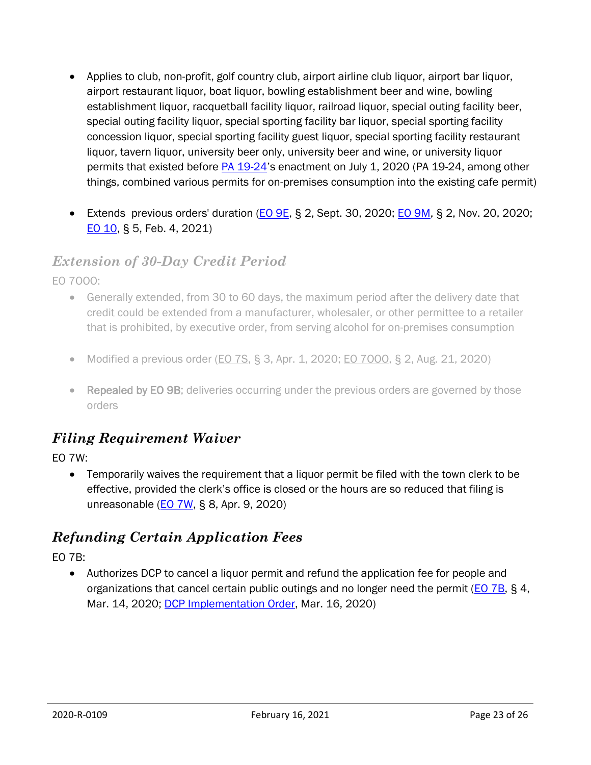- Applies to club, non-profit, golf country club, airport airline club liquor, airport bar liquor, airport restaurant liquor, boat liquor, bowling establishment beer and wine, bowling establishment liquor, racquetball facility liquor, railroad liquor, special outing facility beer, special outing facility liquor, special sporting facility bar liquor, special sporting facility concession liquor, special sporting facility guest liquor, special sporting facility restaurant liquor, tavern liquor, university beer only, university beer and wine, or university liquor permits that existed before [PA 19-24](https://cga.ct.gov/asp/cgabillstatus/cgabillstatus.asp?selBillType=Public+Act&which_year=2019&bill_num=24)'s enactment on July 1, 2020 (PA 19-24, among other things, combined various permits for on-premises consumption into the existing cafe permit)
- Extends previous orders' duration (EO  $9E$ , § 2, Sept. 30, 2020; EO  $9M$ , § 2, Nov. 20, 2020; [EO 10,](https://portal.ct.gov/-/media/Office-of-the-Governor/Executive-Orders/Lamont-Executive-Orders/Executive-Order-No-10.pdf) § 5, Feb. 4, 2021)

#### <span id="page-22-0"></span>*Extension of 30-Day Credit Period*

EO 7OOO:

- Generally extended, from 30 to 60 days, the maximum period after the delivery date that credit could be extended from a manufacturer, wholesaler, or other permittee to a retailer that is prohibited, by executive order, from serving alcohol for on-premises consumption
- Modified a previous order ( $\underline{EO}$  7S, § 3, Apr. 1, 2020;  $\underline{EO}$  7000, § 2, Aug. 21, 2020)
- Repealed by [EO 9B;](https://portal.ct.gov/-/media/Office-of-the-Governor/Executive-Orders/Lamont-Executive-Orders/Executive-Order-No-9B.pdf) deliveries occurring under the previous orders are governed by those orders

#### <span id="page-22-1"></span>*Filing Requirement Waiver*

EO 7W:

 Temporarily waives the requirement that a liquor permit be filed with the town clerk to be effective, provided the clerk's office is closed or the hours are so reduced that filing is unreasonable (**EO 7W**, § 8, Apr. 9, 2020)

#### <span id="page-22-2"></span>*Refunding Certain Application Fees*

EO 7B:

 Authorizes DCP to cancel a liquor permit and refund the application fee for people and organizations that cancel certain public outings and no longer need the permit [\(EO 7B,](https://portal.ct.gov/-/media/Office-of-the-Governor/Executive-Orders/Lamont-Executive-Orders/Executive-Order-No-7B.pdf) § 4, Mar. 14, 2020; **DCP Implementation Order, Mar. 16, 2020**)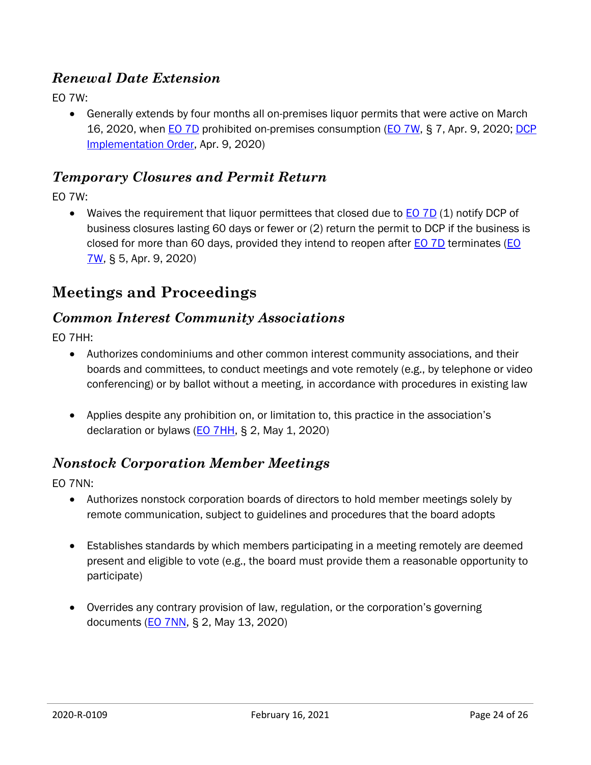#### <span id="page-23-0"></span>*Renewal Date Extension*

EO 7W:

 Generally extends by four months all on-premises liquor permits that were active on March 16, 2020, when [EO 7D](https://portal.ct.gov/-/media/Office-of-the-Governor/Executive-Orders/Lamont-Executive-Orders/Executive-Order-No-7D.pdf) prohibited on-premises consumption [\(EO 7W,](https://portal.ct.gov/-/media/Office-of-the-Governor/Executive-Orders/Lamont-Executive-Orders/Executive-Order-No-7W.pdf) § 7, Apr. 9, 2020; [DCP](https://portal.ct.gov/-/media/DCP/LIQUOR_CONTROL/Latest-Liquor-News-Alerts/7W_IO.pdf?la=en)  [Implementation Order,](https://portal.ct.gov/-/media/DCP/LIQUOR_CONTROL/Latest-Liquor-News-Alerts/7W_IO.pdf?la=en) Apr. 9, 2020)

#### <span id="page-23-1"></span>*Temporary Closures and Permit Return*

EO 7W:

• Waives the requirement that liquor permittees that closed due to [EO 7D](https://portal.ct.gov/-/media/Office-of-the-Governor/Executive-Orders/Lamont-Executive-Orders/Executive-Order-No-7D.pdf) (1) notify DCP of business closures lasting 60 days or fewer or (2) return the permit to DCP if the business is closed for more than 60 days, provided they intend to reopen after **EO 7D** terminates (*EO* [7W,](https://portal.ct.gov/-/media/Office-of-the-Governor/Executive-Orders/Lamont-Executive-Orders/Executive-Order-No-7W.pdf) § 5, Apr. 9, 2020)

#### <span id="page-23-2"></span>**Meetings and Proceedings**

#### <span id="page-23-3"></span>*Common Interest Community Associations*

EO 7HH:

- Authorizes condominiums and other common interest community associations, and their boards and committees, to conduct meetings and vote remotely (e.g., by telephone or video conferencing) or by ballot without a meeting, in accordance with procedures in existing law
- Applies despite any prohibition on, or limitation to, this practice in the association's declaration or bylaws [\(EO 7HH,](https://portal.ct.gov/-/media/Office-of-the-Governor/Executive-Orders/Lamont-Executive-Orders/Executive-Order-No-7HH.pdf?la=en) § 2, May 1, 2020)

#### <span id="page-23-4"></span>*Nonstock Corporation Member Meetings*

EO 7NN:

- Authorizes nonstock corporation boards of directors to hold member meetings solely by remote communication, subject to guidelines and procedures that the board adopts
- Establishes standards by which members participating in a meeting remotely are deemed present and eligible to vote (e.g., the board must provide them a reasonable opportunity to participate)
- Overrides any contrary provision of law, regulation, or the corporation's governing documents [\(EO 7NN,](https://portal.ct.gov/-/media/Office-of-the-Governor/Executive-Orders/Lamont-Executive-Orders/Executive-Order-No-7NN.pdf?la=en) § 2, May 13, 2020)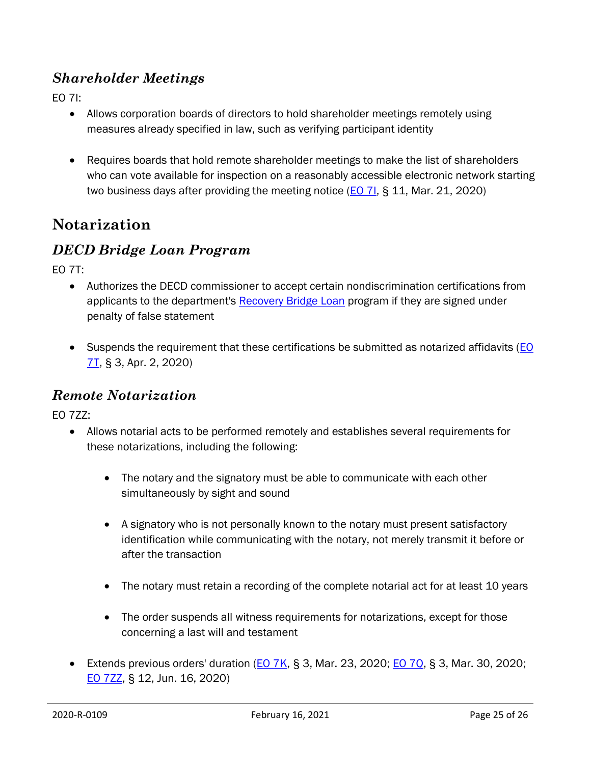#### <span id="page-24-0"></span>*Shareholder Meetings*

EO 7I:

- Allows corporation boards of directors to hold shareholder meetings remotely using measures already specified in law, such as verifying participant identity
- Requires boards that hold remote shareholder meetings to make the list of shareholders who can vote available for inspection on a reasonably accessible electronic network starting two business days after providing the meeting notice  $(EO 7I, S 11, Mar. 21, 2020)$  $(EO 7I, S 11, Mar. 21, 2020)$

### <span id="page-24-1"></span>**Notarization**

#### <span id="page-24-2"></span>*DECD Bridge Loan Program*

EO 7T:

- Authorizes the DECD commissioner to accept certain nondiscrimination certifications from applicants to the department's [Recovery Bridge Loan](https://portal.ct.gov/DECD/Content/Coronavirus-Business-Recovery/CT-Recovery-Bridge-Loan-Program) program if they are signed under penalty of false statement
- Suspends the requirement that these certifications be submitted as notarized affidavits (EO [7T,](https://portal.ct.gov/-/media/Office-of-the-Governor/Executive-Orders/Lamont-Executive-Orders/Executive-Order-No-7T.pdf?la=en) § 3, Apr. 2, 2020)

#### <span id="page-24-3"></span>*Remote Notarization*

EO 7ZZ:

- Allows notarial acts to be performed remotely and establishes several requirements for these notarizations, including the following:
	- The notary and the signatory must be able to communicate with each other simultaneously by sight and sound
	- A signatory who is not personally known to the notary must present satisfactory identification while communicating with the notary, not merely transmit it before or after the transaction
	- The notary must retain a recording of the complete notarial act for at least 10 years
	- The order suspends all witness requirements for notarizations, except for those concerning a last will and testament
- Extends previous orders' duration  $(EO 7K, S 3, Mar. 23, 2020; EO 7Q, S 3, Mar. 30, 2020;$  $(EO 7K, S 3, Mar. 23, 2020; EO 7Q, S 3, Mar. 30, 2020;$  $(EO 7K, S 3, Mar. 23, 2020; EO 7Q, S 3, Mar. 30, 2020;$  $(EO 7K, S 3, Mar. 23, 2020; EO 7Q, S 3, Mar. 30, 2020;$ [EO 7ZZ,](https://portal.ct.gov/-/media/Office-of-the-Governor/Executive-Orders/Lamont-Executive-Orders/Executive-Order-No-7ZZ.pdf) § 12, Jun. 16, 2020)